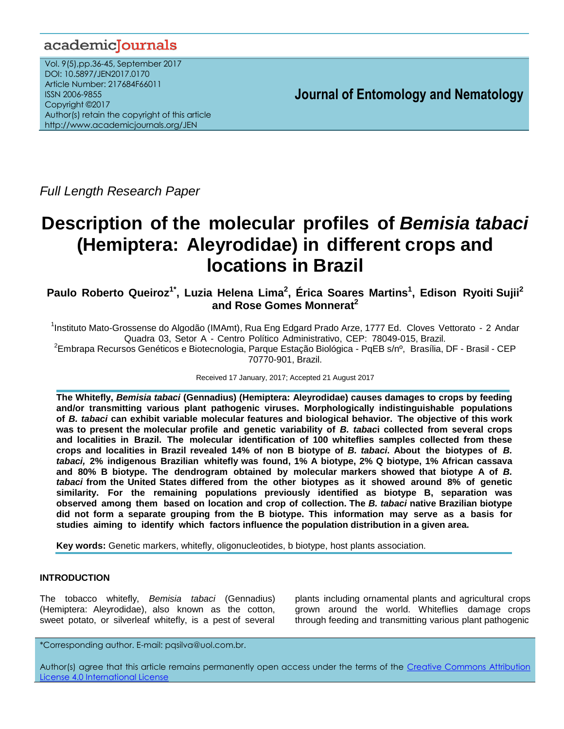## academiclournals

Vol. 9(5),pp.36-45, September 2017 DOI: 10.5897/JEN2017.0170 Article Number: 217684F66011 ISSN 2006-9855 Copyright ©2017 Author(s) retain the copyright of this article http://www.academicjournals.org/JEN

**Journal of Entomology and Nematology**

*Full Length Research Paper*

# **Description of the molecular profiles of** *Bemisia tabaci*  **(Hemiptera: Aleyrodidae) in different crops and locations in Brazil**

**Paulo Roberto Queiroz1\* , Luzia Helena Lima<sup>2</sup> , Érica Soares Martins<sup>1</sup> , Edison Ryoiti Sujii<sup>2</sup> and Rose Gomes Monnerat<sup>2</sup>**

<sup>1</sup>Instituto Mato-Grossense do Algodão (IMAmt), Rua Eng Edgard Prado Arze, 1777 Ed. Cloves Vettorato - 2 Andar Quadra 03, Setor A - Centro Político Administrativo, CEP: 78049-015, Brazil.

<sup>2</sup>Embrapa Recursos Genéticos e Biotecnologia, Parque Estação Biológica - PqEB s/nº, Brasília, DF - Brasil - CEP 70770-901, Brazil.

Received 17 January, 2017; Accepted 21 August 2017

**The Whitefly,** *Bemisia tabaci* **(Gennadius) (Hemiptera: Aleyrodidae) causes damages to crops by feeding and/or transmitting various plant pathogenic viruses. Morphologically indistinguishable populations of** *B. tabaci* **can exhibit variable molecular features and biological behavior. The objective of this work was to present the molecular profile and genetic variability of** *B. tabac***i collected from several crops and localities in Brazil. The molecular identification of 100 whiteflies samples collected from these crops and localities in Brazil revealed 14% of non B biotype of** *B. tabaci***. About the biotypes of** *B. tabaci,* **2% indigenous Brazilian whitefly was found, 1% A biotype, 2% Q biotype, 1% African cassava and 80% B biotype. The dendrogram obtained by molecular markers showed that biotype A of** *B. tabaci* **from the United States differed from the other biotypes as it showed around 8% of genetic similarity. For the remaining populations previously identified as biotype B, separation was observed among them based on location and crop of collection. The** *B. tabaci* **native Brazilian biotype did not form a separate grouping from the B biotype. This information may serve as a basis for studies aiming to identify which factors influence the population distribution in a given area.**

**Key words:** Genetic markers, whitefly, oligonucleotides, b biotype, host plants association.

## **INTRODUCTION**

The tobacco whitefly, *Bemisia tabaci* (Gennadius) (Hemiptera: Aleyrodidae), also known as the cotton, sweet potato, or silverleaf whitefly, is a pest of several plants including ornamental plants and agricultural crops grown around the world. Whiteflies damage crops through feeding and transmitting various plant pathogenic

\*Corresponding author. E-mail: pqsilva@uol.com.br.

Author(s) agree that this article remains permanently open access under the terms of the Creative Commons Attribution [License 4.0 International License](http://creativecommons.org/licenses/by/4.0/deed.en_US)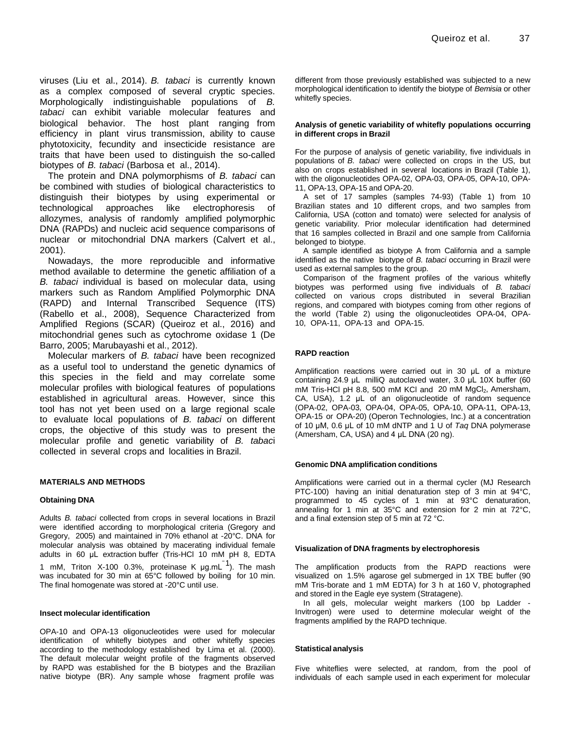viruses (Liu et al., 2014). *B. tabaci* is currently known as a complex composed of several cryptic species. Morphologically indistinguishable populations of *B. tabaci* can exhibit variable molecular features and biological behavior. The host plant ranging from efficiency in plant virus transmission, ability to cause phytotoxicity, fecundity and insecticide resistance are traits that have been used to distinguish the so-called biotypes of *B. tabaci* (Barbosa et al., 2014).

The protein and DNA polymorphisms of *B. tabaci* can be combined with studies of biological characteristics to distinguish their biotypes by using experimental or technological approaches like electrophoresis of allozymes, analysis of randomly amplified polymorphic DNA (RAPDs) and nucleic acid sequence comparisons of nuclear or mitochondrial DNA markers (Calvert et al., 2001).

Nowadays, the more reproducible and informative method available to determine the genetic affiliation of a *B. tabaci* individual is based on molecular data, using markers such as Random Amplified Polymorphic DNA (RAPD) and Internal Transcribed Sequence (ITS) (Rabello et al., 2008), Sequence Characterized from Amplified Regions (SCAR) (Queiroz et al., 2016) and mitochondrial genes such as cytochrome oxidase 1 (De Barro, 2005; Marubayashi et al., 2012).

Molecular markers of *B. tabaci* have been recognized as a useful tool to understand the genetic dynamics of this species in the field and may correlate some molecular profiles with biological features of populations established in agricultural areas. However, since this tool has not yet been used on a large regional scale to evaluate local populations of *B. tabaci* on different crops, the objective of this study was to present the molecular profile and genetic variability of *B. tabac*i collected in several crops and localities in Brazil.

#### **MATERIALS AND METHODS**

#### **Obtaining DNA**

Adults *B. tabaci* collected from crops in several locations in Brazil were identified according to morphological criteria (Gregory and Gregory, 2005) and maintained in 70% ethanol at -20°C. DNA for molecular analysis was obtained by macerating individual female adults in 60 μL extraction buffer (Tris-HCl 10 mM pH 8, EDTA 1 mM, Triton X-100 0.3%, proteinase K  $\mu$ g.mL $^{-1}$ ). The mash was incubated for 30 min at 65°C followed by boiling for 10 min. The final homogenate was stored at -20°C until use.

#### **Insect molecular identification**

OPA-10 and OPA-13 oligonucleotides were used for molecular identification of whitefly biotypes and other whitefly species according to the methodology established by Lima et al. (2000). The default molecular weight profile of the fragments observed by RAPD was established for the B biotypes and the Brazilian native biotype (BR). Any sample whose fragment profile was

different from those previously established was subjected to a new morphological identification to identify the biotype of *Bemisia* or other whitefly species.

#### **Analysis of genetic variability of whitefly populations occurring in different crops in Brazil**

For the purpose of analysis of genetic variability, five individuals in populations of *B. tabaci* were collected on crops in the US, but also on crops established in several locations in Brazil (Table 1), with the oligonucleotides OPA-02, OPA-03, OPA-05, OPA-10, OPA-11, OPA-13, OPA-15 and OPA-20.

A set of 17 samples (samples 74-93) (Table 1) from 10 Brazilian states and 10 different crops, and two samples from California, USA (cotton and tomato) were selected for analysis of genetic variability. Prior molecular identification had determined that 16 samples collected in Brazil and one sample from California belonged to biotype.

A sample identified as biotype A from California and a sample identified as the native biotype of *B. tabaci* occurring in Brazil were used as external samples to the group.

Comparison of the fragment profiles of the various whitefly biotypes was performed using five individuals of *B. tabaci* collected on various crops distributed in several Brazilian regions, and compared with biotypes coming from other regions of the world (Table 2) using the oligonucleotides OPA-04, OPA-10, OPA-11, OPA-13 and OPA-15.

#### **RAPD reaction**

Amplification reactions were carried out in 30 μL of a mixture containing 24.9 μL milliQ autoclaved water, 3.0 μL 10X buffer (60 mM Tris-HCl pH 8.8, 500 mM KCl and 20 mM  $MgCl<sub>2</sub>$ , Amersham, CA, USA), 1.2 μL of an oligonucleotide of random sequence (OPA-02, OPA-03, OPA-04, OPA-05, OPA-10, OPA-11, OPA-13, OPA-15 or OPA-20) (Operon Technologies, Inc.) at a concentration of 10 μM, 0.6 μL of 10 mM dNTP and 1 U of *Taq* DNA polymerase (Amersham, CA, USA) and 4 μL DNA (20 ng).

#### **Genomic DNA amplification conditions**

Amplifications were carried out in a thermal cycler (MJ Research PTC-100) having an initial denaturation step of 3 min at 94°C, programmed to 45 cycles of 1 min at 93°C denaturation, annealing for 1 min at 35°C and extension for 2 min at 72°C, and a final extension step of 5 min at 72 °C.

#### **Visualization of DNA fragments by electrophoresis**

The amplification products from the RAPD reactions were visualized on 1.5% agarose gel submerged in 1X TBE buffer (90 mM Tris-borate and 1 mM EDTA) for 3 h at 160 V, photographed and stored in the Eagle eye system (Stratagene).

In all gels, molecular weight markers (100 bp Ladder - Invitrogen) were used to determine molecular weight of the fragments amplified by the RAPD technique.

#### **Statistical analysis**

Five whiteflies were selected, at random, from the pool of individuals of each sample used in each experiment for molecular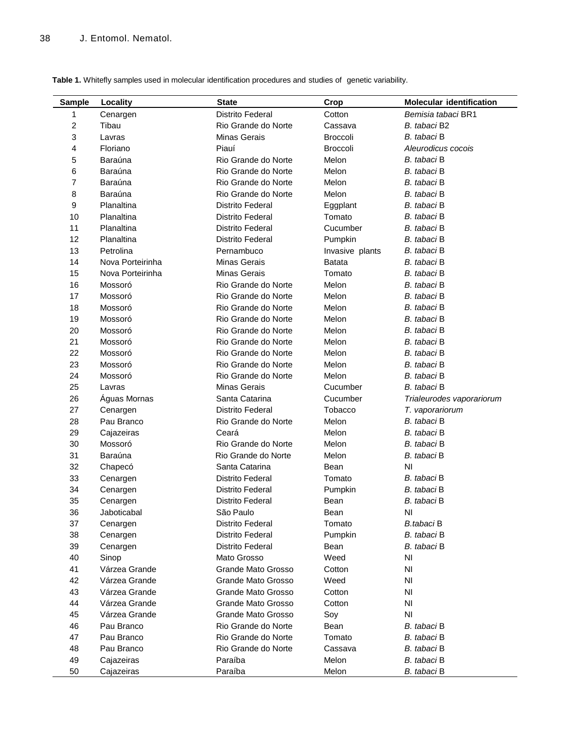|  |  |  |  |  |  |  | Table 1. Whitefly samples used in molecular identification procedures and studies of genetic variability. |  |
|--|--|--|--|--|--|--|-----------------------------------------------------------------------------------------------------------|--|
|--|--|--|--|--|--|--|-----------------------------------------------------------------------------------------------------------|--|

| <b>Sample</b>           | Locality         | <b>State</b>            | Crop            | <b>Molecular identification</b> |
|-------------------------|------------------|-------------------------|-----------------|---------------------------------|
| 1                       | Cenargen         | <b>Distrito Federal</b> | Cotton          | Bemisia tabaci BR1              |
| $\overline{\mathbf{c}}$ | Tibau            | Rio Grande do Norte     | Cassava         | B. tabaci B2                    |
| 3                       | Lavras           | Minas Gerais            | <b>Broccoli</b> | B. tabaci B                     |
| 4                       | Floriano         | Piauí                   | <b>Broccoli</b> | Aleurodicus cocois              |
| 5                       | Baraúna          | Rio Grande do Norte     | Melon           | B. tabaci B                     |
| 6                       | Baraúna          | Rio Grande do Norte     | Melon           | B. tabaci B                     |
| $\overline{7}$          | Baraúna          | Rio Grande do Norte     | Melon           | B. tabaci B                     |
| 8                       | Baraúna          | Rio Grande do Norte     | Melon           | B. tabaci B                     |
| 9                       | Planaltina       | <b>Distrito Federal</b> | Eggplant        | B. tabaci B                     |
| 10                      | Planaltina       | <b>Distrito Federal</b> | Tomato          | B. tabaci B                     |
| 11                      | Planaltina       | Distrito Federal        | Cucumber        | B. tabaci B                     |
| 12                      | Planaltina       | <b>Distrito Federal</b> | Pumpkin         | B. tabaci B                     |
| 13                      | Petrolina        | Pernambuco              | Invasive plants | B. tabaci B                     |
| 14                      | Nova Porteirinha | Minas Gerais            | <b>Batata</b>   | B. tabaci B                     |
| 15                      | Nova Porteirinha | Minas Gerais            | Tomato          | B. tabaci B                     |
| 16                      | Mossoró          | Rio Grande do Norte     | Melon           | B. tabaci B                     |
| 17                      | Mossoró          | Rio Grande do Norte     | Melon           | B. tabaci B                     |
| 18                      | Mossoró          | Rio Grande do Norte     | Melon           | B. tabaci B                     |
| 19                      | Mossoró          | Rio Grande do Norte     | Melon           | B. tabaci B                     |
| 20                      | Mossoró          | Rio Grande do Norte     | Melon           | B. tabaci B                     |
| 21                      | Mossoró          | Rio Grande do Norte     | Melon           | B. tabaci B                     |
| 22                      | Mossoró          | Rio Grande do Norte     | Melon           | B. tabaci B                     |
| 23                      | Mossoró          | Rio Grande do Norte     | Melon           | B. tabaci B                     |
| 24                      | Mossoró          | Rio Grande do Norte     | Melon           | B. tabaci B                     |
| 25                      | Lavras           | Minas Gerais            | Cucumber        | B. tabaci B                     |
| 26                      | Aguas Mornas     | Santa Catarina          | Cucumber        | Trialeurodes vaporariorum       |
| 27                      | Cenargen         | <b>Distrito Federal</b> | Tobacco         | T. vaporariorum                 |
| 28                      | Pau Branco       | Rio Grande do Norte     | Melon           | B. tabaci B                     |
| 29                      | Cajazeiras       | Ceará                   | Melon           | B. tabaci B                     |
| 30                      | Mossoró          | Rio Grande do Norte     | Melon           | B. tabaci B                     |
| 31                      | Baraúna          | Rio Grande do Norte     | Melon           | B. tabaci B                     |
| 32                      | Chapecó          | Santa Catarina          | Bean            | ΝI                              |
| 33                      | Cenargen         | <b>Distrito Federal</b> | Tomato          | B. tabaci B                     |
| 34                      | Cenargen         | <b>Distrito Federal</b> | Pumpkin         | B. tabaci B                     |
| 35                      | Cenargen         | Distrito Federal        | Bean            | B. tabaci B                     |
| 36                      | Jaboticabal      | São Paulo               | Bean            | NI                              |
| 37                      | Cenargen         | <b>Distrito Federal</b> | Tomato          | <b>B.tabaci B</b>               |
| 38                      | Cenargen         | <b>Distrito Federal</b> | Pumpkin         | B. tabaci B                     |
| 39                      | Cenargen         | Distrito Federal        | Bean            | B. tabaci B                     |
| 40                      | Sinop            | Mato Grosso             | Weed            | NI                              |
| 41                      | Várzea Grande    | Grande Mato Grosso      | Cotton          | NI                              |
| 42                      | Várzea Grande    | Grande Mato Grosso      | Weed            | NI                              |
| 43                      | Várzea Grande    | Grande Mato Grosso      | Cotton          | NI                              |
| 44                      | Várzea Grande    | Grande Mato Grosso      | Cotton          | NI                              |
| 45                      | Várzea Grande    | Grande Mato Grosso      | Soy             | NI                              |
| 46                      | Pau Branco       | Rio Grande do Norte     | Bean            | B. tabaci B                     |
| 47                      | Pau Branco       | Rio Grande do Norte     | Tomato          | B. tabaci B                     |
| 48                      | Pau Branco       | Rio Grande do Norte     | Cassava         | B. tabaci B                     |
| 49                      | Cajazeiras       | Paraíba                 | Melon           | B. tabaci B                     |
| 50                      | Cajazeiras       | Paraíba                 | Melon           | B. tabaci B                     |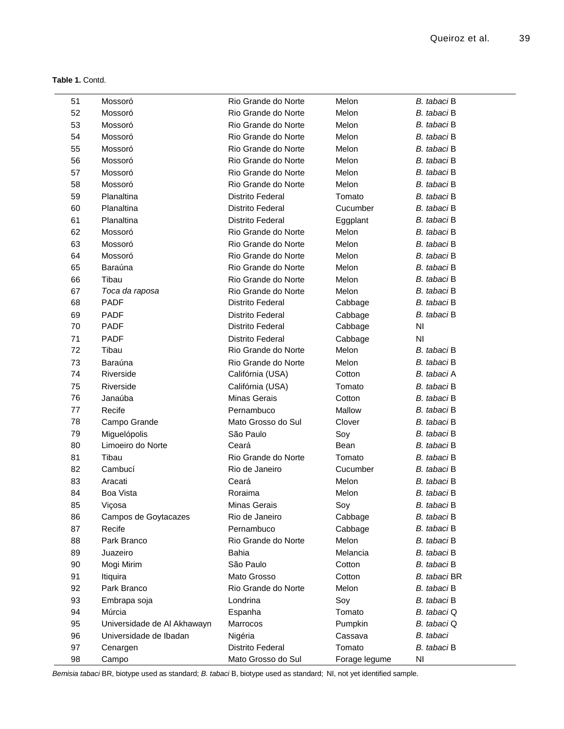| 51 | Mossoró                     | Rio Grande do Norte     | Melon         | B. tabaci B  |
|----|-----------------------------|-------------------------|---------------|--------------|
| 52 | Mossoró                     | Rio Grande do Norte     | Melon         | B. tabaci B  |
| 53 | Mossoró                     | Rio Grande do Norte     | Melon         | B. tabaci B  |
| 54 | Mossoró                     | Rio Grande do Norte     | Melon         | B. tabaci B  |
| 55 | Mossoró                     | Rio Grande do Norte     | Melon         | B. tabaci B  |
| 56 | Mossoró                     | Rio Grande do Norte     | Melon         | B. tabaci B  |
| 57 | Mossoró                     | Rio Grande do Norte     | Melon         | B. tabaci B  |
| 58 | Mossoró                     | Rio Grande do Norte     | Melon         | B. tabaci B  |
| 59 | Planaltina                  | <b>Distrito Federal</b> | Tomato        | B. tabaci B  |
| 60 | Planaltina                  | <b>Distrito Federal</b> | Cucumber      | B. tabaci B  |
| 61 | Planaltina                  | <b>Distrito Federal</b> | Eggplant      | B. tabaci B  |
| 62 | Mossoró                     | Rio Grande do Norte     | Melon         | B. tabaci B  |
| 63 | Mossoró                     | Rio Grande do Norte     | Melon         | B. tabaci B  |
| 64 | Mossoró                     | Rio Grande do Norte     | Melon         | B. tabaci B  |
| 65 | Baraúna                     | Rio Grande do Norte     | Melon         | B. tabaci B  |
| 66 | Tibau                       | Rio Grande do Norte     | Melon         | B. tabaci B  |
| 67 | Toca da raposa              | Rio Grande do Norte     | Melon         | B. tabaci B  |
| 68 | <b>PADF</b>                 | <b>Distrito Federal</b> | Cabbage       | B. tabaci B  |
| 69 | <b>PADF</b>                 | <b>Distrito Federal</b> | Cabbage       | B. tabaci B  |
| 70 | <b>PADF</b>                 | <b>Distrito Federal</b> | Cabbage       | NI           |
| 71 | <b>PADF</b>                 | <b>Distrito Federal</b> | Cabbage       | NI           |
| 72 | Tibau                       | Rio Grande do Norte     | Melon         | B. tabaci B  |
| 73 | Baraúna                     | Rio Grande do Norte     | Melon         | B. tabaci B  |
| 74 | Riverside                   | Califórnia (USA)        | Cotton        | B. tabaci A  |
| 75 | Riverside                   | Califórnia (USA)        | Tomato        | B. tabaci B  |
| 76 | Janaúba                     | <b>Minas Gerais</b>     | Cotton        | B. tabaci B  |
| 77 | Recife                      | Pernambuco              | Mallow        | B. tabaci B  |
| 78 | Campo Grande                | Mato Grosso do Sul      | Clover        | B. tabaci B  |
| 79 | Miguelópolis                | São Paulo               | Soy           | B. tabaci B  |
| 80 | Limoeiro do Norte           | Ceará                   | Bean          | B. tabaci B  |
| 81 | Tibau                       | Rio Grande do Norte     | Tomato        | B. tabaci B  |
| 82 | Cambucí                     | Rio de Janeiro          | Cucumber      | B. tabaci B  |
| 83 | Aracati                     | Ceará                   | Melon         | B. tabaci B  |
| 84 | <b>Boa Vista</b>            | Roraima                 | Melon         | B. tabaci B  |
| 85 | Viçosa                      | Minas Gerais            | Soy           | B. tabaci B  |
| 86 | Campos de Goytacazes        | Rio de Janeiro          | Cabbage       | B. tabaci B  |
| 87 | Recife                      | Pernambuco              | Cabbage       | B. tabaci B  |
| 88 | Park Branco                 | Rio Grande do Norte     | Melon         | B. tabaci B  |
| 89 | Juazeiro                    | Bahia                   | Melancia      | B. tabaci B  |
| 90 | Mogi Mirim                  | São Paulo               | Cotton        | B. tabaci B  |
| 91 | Itiquira                    | Mato Grosso             | Cotton        | B. tabaci BR |
| 92 | Park Branco                 | Rio Grande do Norte     | Melon         | B. tabaci B  |
| 93 | Embrapa soja                | Londrina                | Soy           | B. tabaci B  |
| 94 | Múrcia                      | Espanha                 | Tomato        | B. tabaci Q  |
| 95 | Universidade de Al Akhawayn | Marrocos                | Pumpkin       | B. tabaci Q  |
| 96 | Universidade de Ibadan      | Nigéria                 | Cassava       | B. tabaci    |
| 97 | Cenargen                    | <b>Distrito Federal</b> | Tomato        | B. tabaci B  |
| 98 | Campo                       | Mato Grosso do Sul      | Forage legume | NI           |

*Bemisia tabaci* BR, biotype used as standard; *B. tabaci* B, biotype used as standard; NI, not yet identified sample.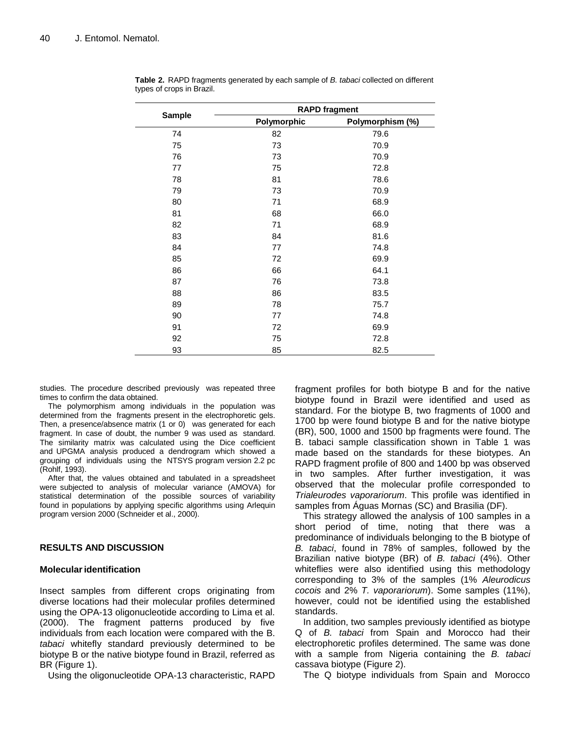|               | <b>RAPD fragment</b> |                  |  |  |
|---------------|----------------------|------------------|--|--|
| <b>Sample</b> | Polymorphic          | Polymorphism (%) |  |  |
| 74            | 82                   | 79.6             |  |  |
| 75            | 73                   | 70.9             |  |  |
| 76            | 73                   | 70.9             |  |  |
| 77            | 75                   | 72.8             |  |  |
| 78            | 81                   | 78.6             |  |  |
| 79            | 73                   | 70.9             |  |  |
| 80            | 71                   | 68.9             |  |  |
| 81            | 68                   | 66.0             |  |  |
| 82            | 71                   | 68.9             |  |  |
| 83            | 84                   | 81.6             |  |  |
| 84            | 77                   | 74.8             |  |  |
| 85            | 72                   | 69.9             |  |  |
| 86            | 66                   | 64.1             |  |  |
| 87            | 76                   | 73.8             |  |  |
| 88            | 86                   | 83.5             |  |  |
| 89            | 78                   | 75.7             |  |  |
| 90            | 77                   | 74.8             |  |  |
| 91            | 72                   | 69.9             |  |  |
| 92            | 75                   | 72.8             |  |  |
| 93            | 85                   | 82.5             |  |  |

**Table 2.** RAPD fragments generated by each sample of *B. tabaci* collected on different types of crops in Brazil.

studies. The procedure described previously was repeated three times to confirm the data obtained.

The polymorphism among individuals in the population was determined from the fragments present in the electrophoretic gels. Then, a presence/absence matrix (1 or 0) was generated for each fragment. In case of doubt, the number 9 was used as standard. The similarity matrix was calculated using the Dice coefficient and UPGMA analysis produced a dendrogram which showed a grouping of individuals using the NTSYS program version 2.2 pc (Rohlf, 1993).

After that, the values obtained and tabulated in a spreadsheet were subjected to analysis of molecular variance (AMOVA) for statistical determination of the possible sources of variability found in populations by applying specific algorithms using Arlequin program version 2000 (Schneider et al., 2000).

## **RESULTS AND DISCUSSION**

### **Molecularidentification**

Insect samples from different crops originating from diverse locations had their molecular profiles determined using the OPA-13 oligonucleotide according to Lima et al. (2000). The fragment patterns produced by five individuals from each location were compared with the B. *tabaci* whitefly standard previously determined to be biotype B or the native biotype found in Brazil, referred as BR (Figure 1).

Using the oligonucleotide OPA-13 characteristic, RAPD

fragment profiles for both biotype B and for the native biotype found in Brazil were identified and used as standard. For the biotype B, two fragments of 1000 and 1700 bp were found biotype B and for the native biotype (BR), 500, 1000 and 1500 bp fragments were found. The B. tabaci sample classification shown in Table 1 was made based on the standards for these biotypes. An RAPD fragment profile of 800 and 1400 bp was observed in two samples. After further investigation, it was observed that the molecular profile corresponded to *Trialeurodes vaporariorum*. This profile was identified in samples from Águas Mornas (SC) and Brasilia (DF).

This strategy allowed the analysis of 100 samples in a short period of time, noting that there was a predominance of individuals belonging to the B biotype of *B. tabaci*, found in 78% of samples, followed by the Brazilian native biotype (BR) of *B. tabaci* (4%). Other whiteflies were also identified using this methodology corresponding to 3% of the samples (1% *Aleurodicus cocois* and 2% *T. vaporariorum*). Some samples (11%), however, could not be identified using the established standards.

In addition, two samples previously identified as biotype Q of *B. tabaci* from Spain and Morocco had their electrophoretic profiles determined. The same was done with a sample from Nigeria containing the *B. tabaci* cassava biotype (Figure 2).

The Q biotype individuals from Spain and Morocco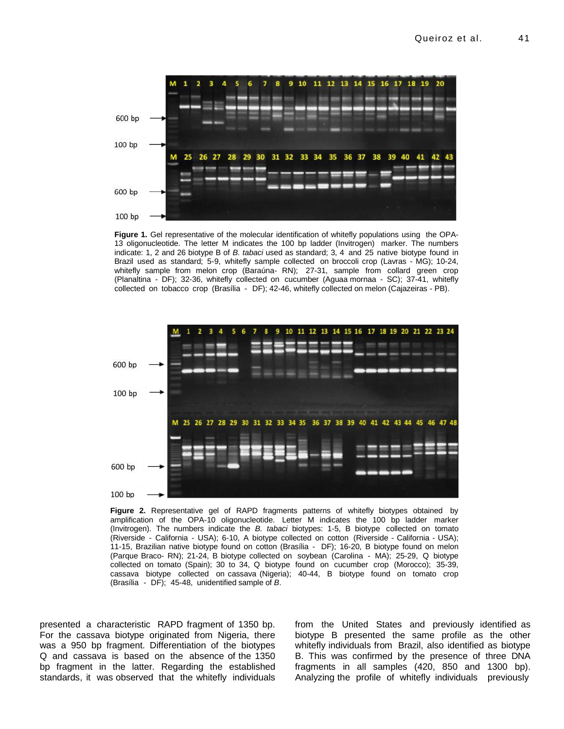

**Figure 1.** Gel representative of the molecular identification of whitefly populations using the OPA-13 oligonucleotide. The letter M indicates the 100 bp ladder (Invitrogen) marker. The numbers indicate: 1, 2 and 26 biotype B of *B. tabaci* used as standard; 3, 4 and 25 native biotype found in Brazil used as standard; 5-9, whitefly sample collected on broccoli crop (Lavras - MG); 10-24, whitefly sample from melon crop (Baraúna- RN); 27-31, sample from collard green crop (Planaltina - DF); 32-36, whitefly collected on cucumber (Aguaa mornaa - SC); 37-41, whitefly collected on tobacco crop (Brasília - DF); 42-46, whitefly collected on melon (Cajazeiras - PB).



**Figure 2.** Representative gel of RAPD fragments patterns of whitefly biotypes obtained by amplification of the OPA-10 oligonucleotide. Letter M indicates the 100 bp ladder marker (Invitrogen). The numbers indicate the *B. tabaci* biotypes: 1-5, B biotype collected on tomato (Riverside - California - USA); 6-10, A biotype collected on cotton (Riverside - California - USA); 11-15, Brazilian native biotype found on cotton (Brasília - DF); 16-20, B biotype found on melon (Parque Braco- RN); 21-24, B biotype collected on soybean (Carolina - MA); 25-29, Q biotype collected on tomato (Spain); 30 to 34, Q biotype found on cucumber crop (Morocco); 35-39, cassava biotype collected on cassava (Nigeria); 40-44, B biotype found on tomato crop (Brasília - DF); 45-48, unidentified sample of *B*.

presented a characteristic RAPD fragment of 1350 bp. For the cassava biotype originated from Nigeria, there was a 950 bp fragment. Differentiation of the biotypes Q and cassava is based on the absence of the 1350 bp fragment in the latter. Regarding the established standards, it was observed that the whitefly individuals from the United States and previously identified as biotype B presented the same profile as the other whitefly individuals from Brazil, also identified as biotype B. This was confirmed by the presence of three DNA fragments in all samples (420, 850 and 1300 bp). Analyzing the profile of whitefly individuals previously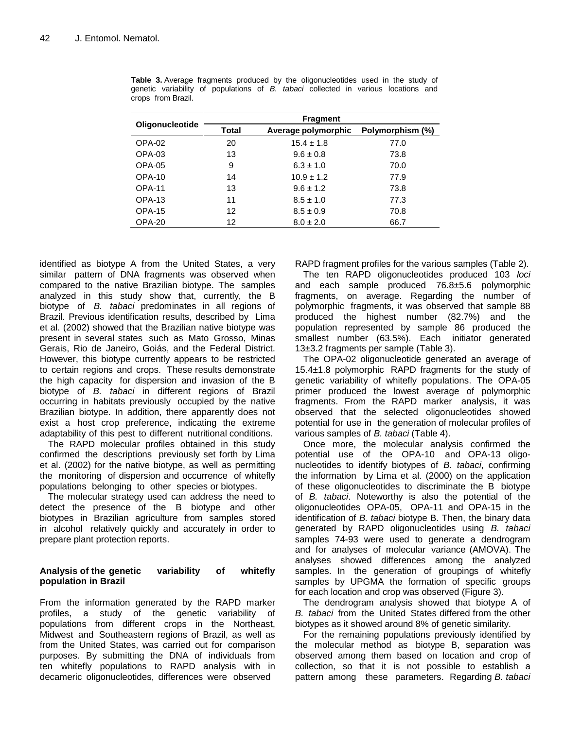|                        | <b>Fragment</b> |                     |                  |  |
|------------------------|-----------------|---------------------|------------------|--|
| <b>Oligonucleotide</b> | Total           | Average polymorphic | Polymorphism (%) |  |
| OPA-02                 | 20              | $15.4 \pm 1.8$      | 77.0             |  |
| OPA-03                 | 13              | $9.6 \pm 0.8$       | 73.8             |  |
| OPA-05                 | 9               | $6.3 \pm 1.0$       | 70.0             |  |
| OPA-10                 | 14              | $10.9 \pm 1.2$      | 77.9             |  |
| OPA-11                 | 13              | $9.6 \pm 1.2$       | 73.8             |  |
| OPA-13                 | 11              | $8.5 \pm 1.0$       | 77.3             |  |
| OPA-15                 | 12              | $8.5 \pm 0.9$       | 70.8             |  |
| OPA-20                 | 12              | $8.0 \pm 2.0$       | 66.7             |  |

**Table 3.** Average fragments produced by the oligonucleotides used in the study of genetic variability of populations of *B. tabaci* collected in various locations and crops from Brazil.

identified as biotype A from the United States, a very similar pattern of DNA fragments was observed when compared to the native Brazilian biotype. The samples analyzed in this study show that, currently, the B biotype of *B. tabaci* predominates in all regions of Brazil. Previous identification results, described by Lima et al. (2002) showed that the Brazilian native biotype was present in several states such as Mato Grosso, Minas Gerais, Rio de Janeiro, Goiás, and the Federal District. However, this biotype currently appears to be restricted to certain regions and crops. These results demonstrate the high capacity for dispersion and invasion of the B biotype of *B. tabaci* in different regions of Brazil occurring in habitats previously occupied by the native Brazilian biotype. In addition, there apparently does not exist a host crop preference, indicating the extreme adaptability of this pest to different nutritional conditions.

The RAPD molecular profiles obtained in this study confirmed the descriptions previously set forth by Lima et al. (2002) for the native biotype, as well as permitting the monitoring of dispersion and occurrence of whitefly populations belonging to other species or biotypes.

The molecular strategy used can address the need to detect the presence of the B biotype and other biotypes in Brazilian agriculture from samples stored in alcohol relatively quickly and accurately in order to prepare plant protection reports.

## **Analysis of the genetic variability of whitefly population in Brazil**

From the information generated by the RAPD marker profiles, a study of the genetic variability of populations from different crops in the Northeast, Midwest and Southeastern regions of Brazil, as well as from the United States, was carried out for comparison purposes. By submitting the DNA of individuals from ten whitefly populations to RAPD analysis with in decameric oligonucleotides, differences were observed

RAPD fragment profiles for the various samples (Table 2).

The ten RAPD oligonucleotides produced 103 *loci* and each sample produced 76.8±5.6 polymorphic fragments, on average. Regarding the number of polymorphic fragments, it was observed that sample 88 produced the highest number (82.7%) and the population represented by sample 86 produced the smallest number (63.5%). Each initiator generated 13±3.2 fragments per sample (Table 3).

The OPA-02 oligonucleotide generated an average of 15.4±1.8 polymorphic RAPD fragments for the study of genetic variability of whitefly populations. The OPA-05 primer produced the lowest average of polymorphic fragments. From the RAPD marker analysis, it was observed that the selected oligonucleotides showed potential for use in the generation of molecular profiles of various samples of *B. tabaci* (Table 4).

Once more, the molecular analysis confirmed the potential use of the OPA-10 and OPA-13 oligonucleotides to identify biotypes of *B. tabaci*, confirming the information by Lima et al. (2000) on the application of these oligonucleotides to discriminate the B biotype of *B. tabaci*. Noteworthy is also the potential of the oligonucleotides OPA-05, OPA-11 and OPA-15 in the identification of *B. tabaci* biotype B. Then, the binary data generated by RAPD oligonucleotides using *B. tabaci* samples 74-93 were used to generate a dendrogram and for analyses of molecular variance (AMOVA). The analyses showed differences among the analyzed samples. In the generation of groupings of whitefly samples by UPGMA the formation of specific groups for each location and crop was observed (Figure 3).

The dendrogram analysis showed that biotype A of *B. tabaci* from the United States differed from the other biotypes as it showed around 8% of genetic similarity.

For the remaining populations previously identified by the molecular method as biotype B, separation was observed among them based on location and crop of collection, so that it is not possible to establish a pattern among these parameters. Regarding *B. tabaci*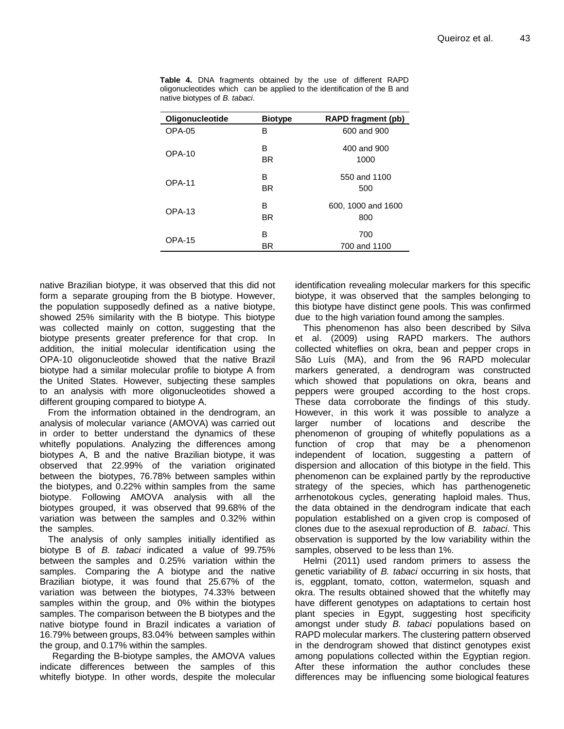| Oligonucleotide | <b>Biotype</b> | <b>RAPD fragment (pb)</b> |
|-----------------|----------------|---------------------------|
| OPA-05          | в              | 600 and 900               |
| OPA-10          | в<br>BR        | 400 and 900<br>1000       |
| $OPA-11$        | в<br>BR        | 550 and 1100<br>500       |
| $OPA-13$        | в<br>BR        | 600, 1000 and 1600<br>800 |
| OPA-15          | в<br>BR        | 700<br>700 and 1100       |

**Table 4.** DNA fragments obtained by the use of different RAPD oligonucleotides which can be applied to the identification of the B and native biotypes of *B. tabaci*.

native Brazilian biotype, it was observed that this did not form a separate grouping from the B biotype. However, the population supposedly defined as a native biotype, showed 25% similarity with the B biotype. This biotype was collected mainly on cotton, suggesting that the biotype presents greater preference for that crop. In addition, the initial molecular identification using the OPA-10 oligonucleotide showed that the native Brazil biotype had a similar molecular profile to biotype A from the United States. However, subjecting these samples to an analysis with more oligonucleotides showed a different grouping compared to biotype A.

From the information obtained in the dendrogram, an analysis of molecular variance (AMOVA) was carried out in order to better understand the dynamics of these whitefly populations. Analyzing the differences among biotypes A, B and the native Brazilian biotype, it was observed that 22.99% of the variation originated between the biotypes, 76.78% between samples within the biotypes, and 0.22% within samples from the same biotype. Following AMOVA analysis with all the biotypes grouped, it was observed that 99.68% of the variation was between the samples and 0.32% within the samples.

The analysis of only samples initially identified as biotype B of *B. tabaci* indicated a value of 99.75% between the samples and 0.25% variation within the samples. Comparing the A biotype and the native Brazilian biotype, it was found that 25.67% of the variation was between the biotypes, 74.33% between samples within the group, and 0% within the biotypes samples. The comparison between the B biotypes and the native biotype found in Brazil indicates a variation of 16.79% between groups, 83.04% between samples within the group, and 0.17% within the samples.

 Regarding the B-biotype samples, the AMOVA values indicate differences between the samples of this whitefly biotype. In other words, despite the molecular identification revealing molecular markers for this specific biotype, it was observed that the samples belonging to this biotype have distinct gene pools. This was confirmed due to the high variation found among the samples.

This phenomenon has also been described by Silva et al. (2009) using RAPD markers. The authors collected whiteflies on okra, bean and pepper crops in São Luís (MA), and from the 96 RAPD molecular markers generated, a dendrogram was constructed which showed that populations on okra, beans and peppers were grouped according to the host crops. These data corroborate the findings of this study. However, in this work it was possible to analyze a larger number of locations and describe the phenomenon of grouping of whitefly populations as a function of crop that may be a phenomenon independent of location, suggesting a pattern of dispersion and allocation of this biotype in the field. This phenomenon can be explained partly by the reproductive strategy of the species, which has parthenogenetic arrhenotokous cycles, generating haploid males. Thus, the data obtained in the dendrogram indicate that each population established on a given crop is composed of clones due to the asexual reproduction of *B. tabaci*. This observation is supported by the low variability within the samples, observed to be less than 1%.

Helmi (2011) used random primers to assess the genetic variability of *B. tabaci* occurring in six hosts, that is, eggplant, tomato, cotton, watermelon, squash and okra. The results obtained showed that the whitefly may have different genotypes on adaptations to certain host plant species in Egypt, suggesting host specificity amongst under study *B. tabaci* populations based on RAPD molecular markers. The clustering pattern observed in the dendrogram showed that distinct genotypes exist among populations collected within the Egyptian region. After these information the author concludes these differences may be influencing some biological features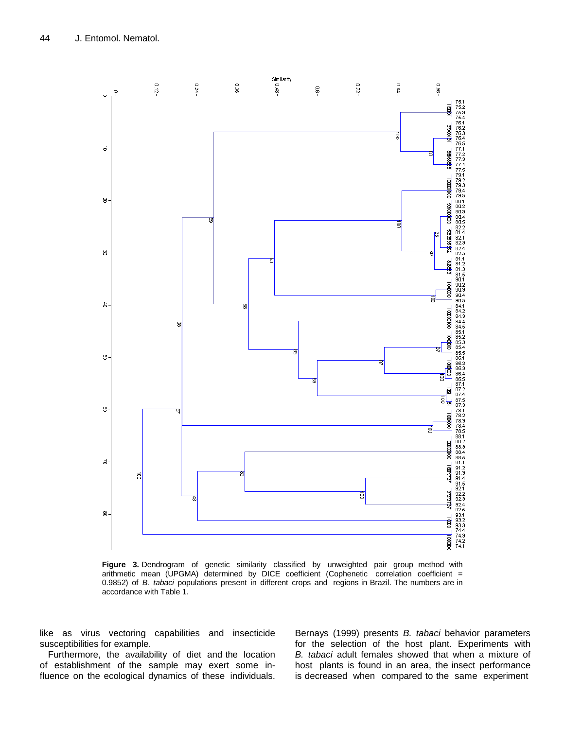

**Figure 3.** Dendrogram of genetic similarity classified by unweighted pair group method with arithmetic mean (UPGMA) determined by DICE coefficient (Cophenetic correlation coefficient = 0.9852) of *B. tabaci* populations present in different crops and regions in Brazil. The numbers are in accordance with Table 1.

like as virus vectoring capabilities and insecticide susceptibilities for example.

Furthermore, the availability of diet and the location of establishment of the sample may exert some influence on the ecological dynamics of these individuals. Bernays (1999) presents *B. tabaci* behavior parameters for the selection of the host plant. Experiments with *B. tabaci* adult females showed that when a mixture of host plants is found in an area, the insect performance is decreased when compared to the same experiment